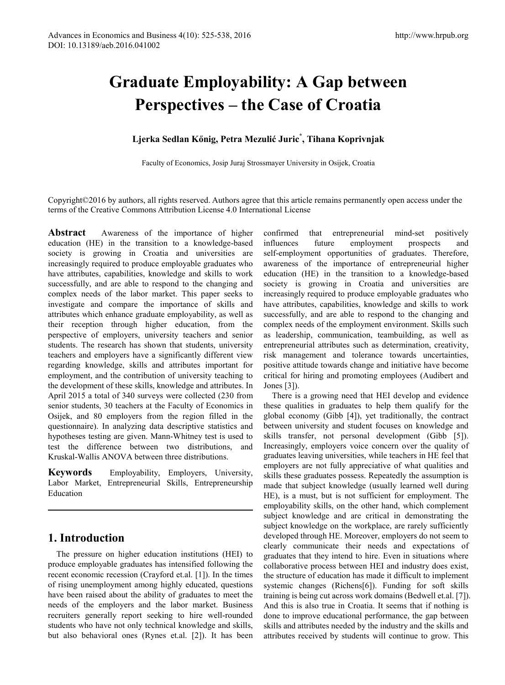# **Graduate Employability: A Gap between Perspectives – the Case of Croatia**

## **Ljerka Sedlan Kőnig, Petra Mezulić Juric\* , Tihana Koprivnjak**

Faculty of Economics, Josip Juraj Strossmayer University in Osijek, Croatia

Copyright©2016 by authors, all rights reserved. Authors agree that this article remains permanently open access under the terms of the Creative Commons Attribution License 4.0 International License

**Abstract** Awareness of the importance of higher education (HE) in the transition to a knowledge-based society is growing in Croatia and universities are increasingly required to produce employable graduates who have attributes, capabilities, knowledge and skills to work successfully, and are able to respond to the changing and complex needs of the labor market. This paper seeks to investigate and compare the importance of skills and attributes which enhance graduate employability, as well as their reception through higher education, from the perspective of employers, university teachers and senior students. The research has shown that students, university teachers and employers have a significantly different view regarding knowledge, skills and attributes important for employment, and the contribution of university teaching to the development of these skills, knowledge and attributes. In April 2015 a total of 340 surveys were collected (230 from senior students, 30 teachers at the Faculty of Economics in Osijek, and 80 employers from the region filled in the questionnaire). In analyzing data descriptive statistics and hypotheses testing are given. Mann-Whitney test is used to test the difference between two distributions, and Kruskal-Wallis ANOVA between three distributions.

**Keywords** Employability, Employers, University, Labor Market, Entrepreneurial Skills, Entrepreneurship Education

## **1. Introduction**

The pressure on higher education institutions (HEI) to produce employable graduates has intensified following the recent economic recession (Crayford et.al. [1]). In the times of rising unemployment among highly educated, questions have been raised about the ability of graduates to meet the needs of the employers and the labor market. Business recruiters generally report seeking to hire well-rounded students who have not only technical knowledge and skills, but also behavioral ones (Rynes et.al. [2]). It has been

confirmed that entrepreneurial mind-set positively influences future employment prospects and self-employment opportunities of graduates. Therefore, awareness of the importance of entrepreneurial higher education (HE) in the transition to a knowledge-based society is growing in Croatia and universities are increasingly required to produce employable graduates who have attributes, capabilities, knowledge and skills to work successfully, and are able to respond to the changing and complex needs of the employment environment. Skills such as leadership, communication, teambuilding, as well as entrepreneurial attributes such as determination, creativity, risk management and tolerance towards uncertainties, positive attitude towards change and initiative have become critical for hiring and promoting employees (Audibert and Jones [3]).

There is a growing need that HEI develop and evidence these qualities in graduates to help them qualify for the global economy (Gibb [4]), yet traditionally, the contract between university and student focuses on knowledge and skills transfer, not personal development (Gibb [5]). Increasingly, employers voice concern over the quality of graduates leaving universities, while teachers in HE feel that employers are not fully appreciative of what qualities and skills these graduates possess. Repeatedly the assumption is made that subject knowledge (usually learned well during HE), is a must, but is not sufficient for employment. The employability skills, on the other hand, which complement subject knowledge and are critical in demonstrating the subject knowledge on the workplace, are rarely sufficiently developed through HE. Moreover, employers do not seem to clearly communicate their needs and expectations of graduates that they intend to hire. Even in situations where collaborative process between HEI and industry does exist, the structure of education has made it difficult to implement systemic changes (Richens[6]). Funding for soft skills training is being cut across work domains (Bedwell et.al. [7]). And this is also true in Croatia. It seems that if nothing is done to improve educational performance, the gap between skills and attributes needed by the industry and the skills and attributes received by students will continue to grow. This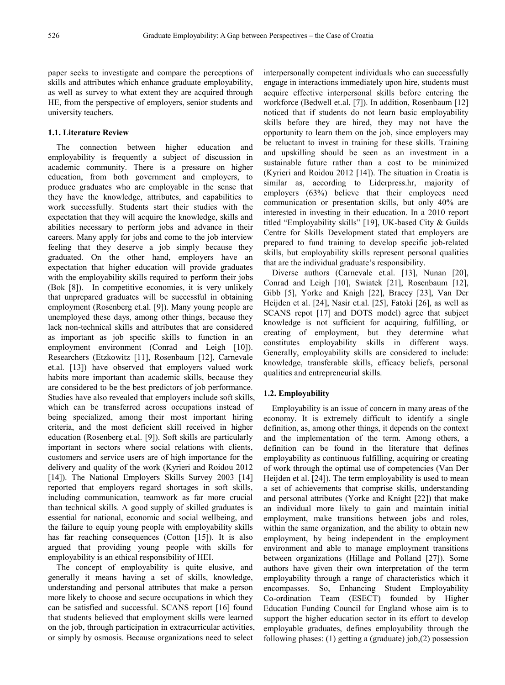paper seeks to investigate and compare the perceptions of skills and attributes which enhance graduate employability, as well as survey to what extent they are acquired through HE, from the perspective of employers, senior students and university teachers.

#### **1.1. Literature Review**

The connection between higher education and employability is frequently a subject of discussion in academic community. There is a pressure on higher education, from both government and employers, to produce graduates who are employable in the sense that they have the knowledge, attributes, and capabilities to work successfully. Students start their studies with the expectation that they will acquire the knowledge, skills and abilities necessary to perform jobs and advance in their careers. Many apply for jobs and come to the job interview feeling that they deserve a job simply because they graduated. On the other hand, employers have an expectation that higher education will provide graduates with the employability skills required to perform their jobs (Bok [8]). In competitive economies, it is very unlikely that unprepared graduates will be successful in obtaining employment (Rosenberg et.al. [9]). Many young people are unemployed these days, among other things, because they lack non-technical skills and attributes that are considered as important as job specific skills to function in an employment environment (Conrad and Leigh [10]). Researchers (Etzkowitz [11], Rosenbaum [12], Carnevale et.al. [13]) have observed that employers valued work habits more important than academic skills, because they are considered to be the best predictors of job performance. Studies have also revealed that employers include soft skills, which can be transferred across occupations instead of being specialized, among their most important hiring criteria, and the most deficient skill received in higher education (Rosenberg et.al. [9]). Soft skills are particularly important in sectors where social relations with clients, customers and service users are of high importance for the delivery and quality of the work (Kyrieri and Roidou 2012 [14]). The National Employers Skills Survey 2003 [14] reported that employers regard shortages in soft skills, including communication, teamwork as far more crucial than technical skills. A good supply of skilled graduates is essential for national, economic and social wellbeing, and the failure to equip young people with employability skills has far reaching consequences (Cotton [15]). It is also argued that providing young people with skills for employability is an ethical responsibility of HEI.

The concept of employability is quite elusive, and generally it means having a set of skills, knowledge, understanding and personal attributes that make a person more likely to choose and secure occupations in which they can be satisfied and successful. SCANS report [16] found that students believed that employment skills were learned on the job, through participation in extracurricular activities, or simply by osmosis. Because organizations need to select

interpersonally competent individuals who can successfully engage in interactions immediately upon hire, students must acquire effective interpersonal skills before entering the workforce (Bedwell et.al. [7]). In addition, Rosenbaum [12] noticed that if students do not learn basic employability skills before they are hired, they may not have the opportunity to learn them on the job, since employers may be reluctant to invest in training for these skills. Training and upskilling should be seen as an investment in a sustainable future rather than a cost to be minimized (Kyrieri and Roidou 2012 [14]). The situation in Croatia is similar as, according to Liderpress.hr, majority of employers (63%) believe that their employees need communication or presentation skills, but only 40% are interested in investing in their education. In a 2010 report titled "Employability skills" [19], UK-based City & Guilds Centre for Skills Development stated that employers are prepared to fund training to develop specific job-related skills, but employability skills represent personal qualities that are the individual graduate's responsibility.

Diverse authors (Carnevale et.al. [13], Nunan [20], Conrad and Leigh [10], Swiatek [21], Rosenbaum [12], Gibb [5], Yorke and Knigh [22], Bracey [23], Van Der Heijden et al. [24], Nasir et.al. [25], Fatoki [26], as well as SCANS repot [17] and DOTS model) agree that subject knowledge is not sufficient for acquiring, fulfilling, or creating of employment, but they determine what constitutes employability skills in different ways. Generally, employability skills are considered to include: knowledge, transferable skills, efficacy beliefs, personal qualities and entrepreneurial skills.

#### **1.2. Employability**

Employability is an issue of concern in many areas of the economy. It is extremely difficult to identify a single definition, as, among other things, it depends on the context and the implementation of the term. Among others, a definition can be found in the literature that defines employability as continuous fulfilling, acquiring or creating of work through the optimal use of competencies (Van Der Heijden et al. [24]). The term employability is used to mean a set of achievements that comprise skills, understanding and personal attributes (Yorke and Knight [22]) that make an individual more likely to gain and maintain initial employment, make transitions between jobs and roles, within the same organization, and the ability to obtain new employment, by being independent in the employment environment and able to manage employment transitions between organizations (Hillage and Polland [27]). Some authors have given their own interpretation of the term employability through a range of characteristics which it encompasses. So, Enhancing Student Employability Co-ordination Team (ESECT) founded by Higher Education Funding Council for England whose aim is to support the higher education sector in its effort to develop employable graduates, defines employability through the following phases: (1) getting a (graduate) job,(2) possession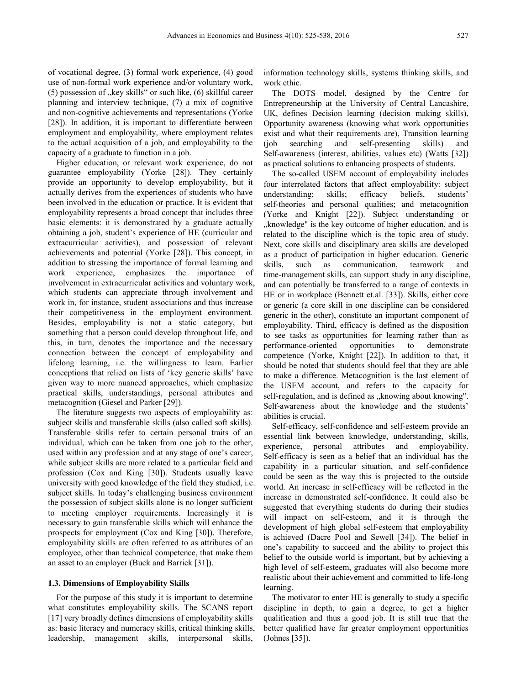of vocational degree, (3) formal work experience, (4) good use of non-formal work experience and/or voluntary work,  $(5)$  possession of "key skills" or such like,  $(6)$  skillful career planning and interview technique, (7) a mix of cognitive and non-cognitive achievements and representations (Yorke [28]). In addition, it is important to differentiate between employment and employability, where employment relates to the actual acquisition of a job, and employability to the capacity of a graduate to function in a job.

Higher education, or relevant work experience, do not guarantee employability (Yorke [28]). They certainly provide an opportunity to develop employability, but it actually derives from the experiences of students who have been involved in the education or practice. It is evident that employability represents a broad concept that includes three basic elements: it is demonstrated by a graduate actually obtaining a job, student's experience of HE (curricular and extracurricular activities), and possession of relevant achievements and potential (Yorke [28]). This concept, in addition to stressing the importance of formal learning and work experience, emphasizes the importance of involvement in extracurricular activities and voluntary work, which students can appreciate through involvement and work in, for instance, student associations and thus increase their competitiveness in the employment environment. Besides, employability is not a static category, but something that a person could develop throughout life, and this, in turn, denotes the importance and the necessary connection between the concept of employability and lifelong learning, i.e. the willingness to learn. Earlier conceptions that relied on lists of 'key generic skills' have given way to more nuanced approaches, which emphasize practical skills, understandings, personal attributes and metacognition (Giesel and Parker [29]).

The literature suggests two aspects of employability as: subject skills and transferable skills (also called soft skills). Transferable skills refer to certain personal traits of an individual, which can be taken from one job to the other, used within any profession and at any stage of one's career, while subject skills are more related to a particular field and profession (Cox and King [30]). Students usually leave university with good knowledge of the field they studied, i.e. subject skills. In today's challenging business environment the possession of subject skills alone is no longer sufficient to meeting employer requirements. Increasingly it is necessary to gain transferable skills which will enhance the prospects for employment (Cox and King [30]). Therefore, employability skills are often referred to as attributes of an employee, other than technical competence, that make them an asset to an employer (Buck and Barrick [31]).

#### **1.3. Dimensions of Employability Skills**

For the purpose of this study it is important to determine what constitutes employability skills. The SCANS report [17] very broadly defines dimensions of employability skills as: basic literacy and numeracy skills, critical thinking skills, leadership, management skills, interpersonal skills,

information technology skills, systems thinking skills, and work ethic.

The DOTS model, designed by the Centre for Entrepreneurship at the University of Central Lancashire, UK, defines Decision learning (decision making skills), Opportunity awareness (knowing what work opportunities exist and what their requirements are), Transition learning (job searching and self-presenting skills) and Self-awareness (interest, abilities, values etc) (Watts [32]) as practical solutions to enhancing prospects of students.

The so-called USEM account of employability includes four interrelated factors that affect employability: subject understanding; skills; efficacy beliefs, students' self-theories and personal qualities; and metacognition (Yorke and Knight [22]). Subject understanding or "knowledge" is the key outcome of higher education, and is related to the discipline which is the topic area of study. Next, core skills and disciplinary area skills are developed as a product of participation in higher education. Generic skills, such as communication, teamwork and time-management skills, can support study in any discipline, and can potentially be transferred to a range of contexts in HE or in workplace (Bennett et.al. [33]). Skills, either core or generic (a core skill in one discipline can be considered generic in the other), constitute an important component of employability. Third, efficacy is defined as the disposition to see tasks as opportunities for learning rather than as performance-oriented opportunities to demonstrate competence (Yorke, Knight [22]). In addition to that, it should be noted that students should feel that they are able to make a difference. Metacognition is the last element of the USEM account, and refers to the capacity for self-regulation, and is defined as "knowing about knowing". Self-awareness about the knowledge and the students' abilities is crucial.

Self-efficacy, self-confidence and self-esteem provide an essential link between knowledge, understanding, skills, experience, personal attributes and employability. Self-efficacy is seen as a belief that an individual has the capability in a particular situation, and self-confidence could be seen as the way this is projected to the outside world. An increase in self-efficacy will be reflected in the increase in demonstrated self-confidence. It could also be suggested that everything students do during their studies will impact on self-esteem, and it is through the development of high global self-esteem that employability is achieved (Dacre Pool and Sewell [34]). The belief in one's capability to succeed and the ability to project this belief to the outside world is important, but by achieving a high level of self-esteem, graduates will also become more realistic about their achievement and committed to life-long learning.

The motivator to enter HE is generally to study a specific discipline in depth, to gain a degree, to get a higher qualification and thus a good job. It is still true that the better qualified have far greater employment opportunities (Johnes [35]).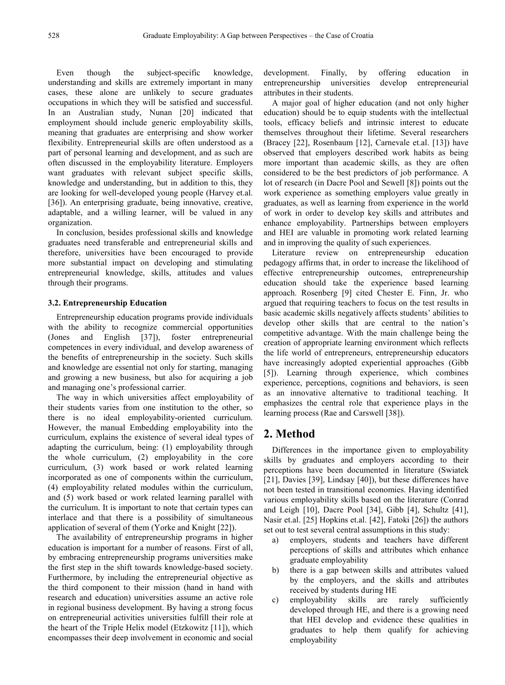Even though the subject-specific knowledge, understanding and skills are extremely important in many cases, these alone are unlikely to secure graduates occupations in which they will be satisfied and successful. In an Australian study, Nunan [20] indicated that employment should include generic employability skills, meaning that graduates are enterprising and show worker flexibility. Entrepreneurial skills are often understood as a part of personal learning and development, and as such are often discussed in the employability literature. Employers want graduates with relevant subject specific skills, knowledge and understanding, but in addition to this, they are looking for well-developed young people (Harvey et.al. [36]). An enterprising graduate, being innovative, creative, adaptable, and a willing learner, will be valued in any organization.

In conclusion, besides professional skills and knowledge graduates need transferable and entrepreneurial skills and therefore, universities have been encouraged to provide more substantial impact on developing and stimulating entrepreneurial knowledge, skills, attitudes and values through their programs.

#### **3.2. Entrepreneurship Education**

Entrepreneurship education programs provide individuals with the ability to recognize commercial opportunities (Jones and English [37]), foster entrepreneurial competences in every individual, and develop awareness of the benefits of entrepreneurship in the society. Such skills and knowledge are essential not only for starting, managing and growing a new business, but also for acquiring a job and managing one's professional carrier.

The way in which universities affect employability of their students varies from one institution to the other, so there is no ideal employability-oriented curriculum. However, the manual Embedding employability into the curriculum, explains the existence of several ideal types of adapting the curriculum, being: (1) employability through the whole curriculum, (2) employability in the core curriculum, (3) work based or work related learning incorporated as one of components within the curriculum, (4) employability related modules within the curriculum, and (5) work based or work related learning parallel with the curriculum. It is important to note that certain types can interlace and that there is a possibility of simultaneous application of several of them (Yorke and Knight [22]).

The availability of entrepreneurship programs in higher education is important for a number of reasons. First of all, by embracing entrepreneurship programs universities make the first step in the shift towards knowledge-based society. Furthermore, by including the entrepreneurial objective as the third component to their mission (hand in hand with research and education) universities assume an active role in regional business development. By having a strong focus on entrepreneurial activities universities fulfill their role at the heart of the Triple Helix model (Etzkowitz [11]), which encompasses their deep involvement in economic and social development. Finally, by offering education in entrepreneurship universities develop entrepreneurial attributes in their students.

A major goal of higher education (and not only higher education) should be to equip students with the intellectual tools, efficacy beliefs and intrinsic interest to educate themselves throughout their lifetime. Several researchers (Bracey [22], Rosenbaum [12], Carnevale et.al. [13]) have observed that employers described work habits as being more important than academic skills, as they are often considered to be the best predictors of job performance. A lot of research (in Dacre Pool and Sewell [8]) points out the work experience as something employers value greatly in graduates, as well as learning from experience in the world of work in order to develop key skills and attributes and enhance employability. Partnerships between employers and HEI are valuable in promoting work related learning and in improving the quality of such experiences.

Literature review on entrepreneurship education pedagogy affirms that, in order to increase the likelihood of effective entrepreneurship outcomes, entrepreneurship education should take the experience based learning approach. Rosenberg [9] cited Chester E. Finn, Jr. who argued that requiring teachers to focus on the test results in basic academic skills negatively affects students' abilities to develop other skills that are central to the nation's competitive advantage. With the main challenge being the creation of appropriate learning environment which reflects the life world of entrepreneurs, entrepreneurship educators have increasingly adopted experiential approaches (Gibb [5]). Learning through experience, which combines experience, perceptions, cognitions and behaviors, is seen as an innovative alternative to traditional teaching. It emphasizes the central role that experience plays in the learning process (Rae and Carswell [38]).

## **2. Method**

Differences in the importance given to employability skills by graduates and employers according to their perceptions have been documented in literature (Swiatek [21], Davies [39], Lindsay [40]), but these differences have not been tested in transitional economies. Having identified various employability skills based on the literature (Conrad and Leigh [10], Dacre Pool [34], Gibb [4], Schultz [41], Nasir et.al. [25] Hopkins et.al. [42], Fatoki [26]) the authors set out to test several central assumptions in this study:

- a) employers, students and teachers have different perceptions of skills and attributes which enhance graduate employability
- b) there is a gap between skills and attributes valued by the employers, and the skills and attributes received by students during HE
- c) employability skills are rarely sufficiently developed through HE, and there is a growing need that HEI develop and evidence these qualities in graduates to help them qualify for achieving employability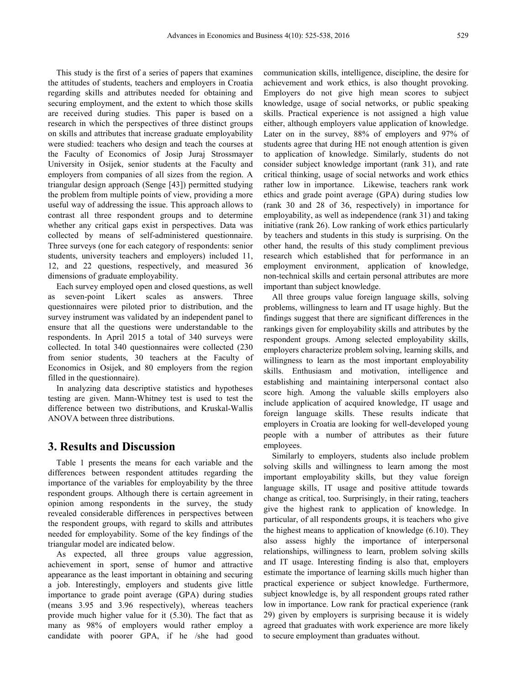This study is the first of a series of papers that examines the attitudes of students, teachers and employers in Croatia regarding skills and attributes needed for obtaining and securing employment, and the extent to which those skills are received during studies. This paper is based on a research in which the perspectives of three distinct groups on skills and attributes that increase graduate employability were studied: teachers who design and teach the courses at the Faculty of Economics of Josip Juraj Strossmayer University in Osijek, senior students at the Faculty and employers from companies of all sizes from the region. A triangular design approach (Senge [43]) permitted studying the problem from multiple points of view, providing a more useful way of addressing the issue. This approach allows to contrast all three respondent groups and to determine whether any critical gaps exist in perspectives. Data was collected by means of self-administered questionnaire. Three surveys (one for each category of respondents: senior students, university teachers and employers) included 11, 12, and 22 questions, respectively, and measured 36 dimensions of graduate employability.

Each survey employed open and closed questions, as well as seven-point Likert scales as answers. Three questionnaires were piloted prior to distribution, and the survey instrument was validated by an independent panel to ensure that all the questions were understandable to the respondents. In April 2015 a total of 340 surveys were collected. In total 340 questionnaires were collected (230 from senior students, 30 teachers at the Faculty of Economics in Osijek, and 80 employers from the region filled in the questionnaire).

In analyzing data descriptive statistics and hypotheses testing are given. Mann-Whitney test is used to test the difference between two distributions, and Kruskal-Wallis ANOVA between three distributions.

### **3. Results and Discussion**

Table 1 presents the means for each variable and the differences between respondent attitudes regarding the importance of the variables for employability by the three respondent groups. Although there is certain agreement in opinion among respondents in the survey, the study revealed considerable differences in perspectives between the respondent groups, with regard to skills and attributes needed for employability. Some of the key findings of the triangular model are indicated below.

As expected, all three groups value aggression, achievement in sport, sense of humor and attractive appearance as the least important in obtaining and securing a job. Interestingly, employers and students give little importance to grade point average (GPA) during studies (means 3.95 and 3.96 respectively), whereas teachers provide much higher value for it (5.30). The fact that as many as 98% of employers would rather employ a candidate with poorer GPA, if he /she had good

communication skills, intelligence, discipline, the desire for achievement and work ethics, is also thought provoking. Employers do not give high mean scores to subject knowledge, usage of social networks, or public speaking skills. Practical experience is not assigned a high value either, although employers value application of knowledge. Later on in the survey, 88% of employers and 97% of students agree that during HE not enough attention is given to application of knowledge. Similarly, students do not consider subject knowledge important (rank 31), and rate critical thinking, usage of social networks and work ethics rather low in importance. Likewise, teachers rank work ethics and grade point average (GPA) during studies low (rank 30 and 28 of 36, respectively) in importance for employability, as well as independence (rank 31) and taking initiative (rank 26). Low ranking of work ethics particularly by teachers and students in this study is surprising. On the other hand, the results of this study compliment previous research which established that for performance in an employment environment, application of knowledge, non-technical skills and certain personal attributes are more important than subject knowledge.

All three groups value foreign language skills, solving problems, willingness to learn and IT usage highly. But the findings suggest that there are significant differences in the rankings given for employability skills and attributes by the respondent groups. Among selected employability skills, employers characterize problem solving, learning skills, and willingness to learn as the most important employability skills. Enthusiasm and motivation, intelligence and establishing and maintaining interpersonal contact also score high. Among the valuable skills employers also include application of acquired knowledge, IT usage and foreign language skills. These results indicate that employers in Croatia are looking for well-developed young people with a number of attributes as their future employees.

Similarly to employers, students also include problem solving skills and willingness to learn among the most important employability skills, but they value foreign language skills, IT usage and positive attitude towards change as critical, too. Surprisingly, in their rating, teachers give the highest rank to application of knowledge. In particular, of all respondents groups, it is teachers who give the highest means to application of knowledge (6.10). They also assess highly the importance of interpersonal relationships, willingness to learn, problem solving skills and IT usage. Interesting finding is also that, employers estimate the importance of learning skills much higher than practical experience or subject knowledge. Furthermore, subject knowledge is, by all respondent groups rated rather low in importance. Low rank for practical experience (rank 29) given by employers is surprising because it is widely agreed that graduates with work experience are more likely to secure employment than graduates without.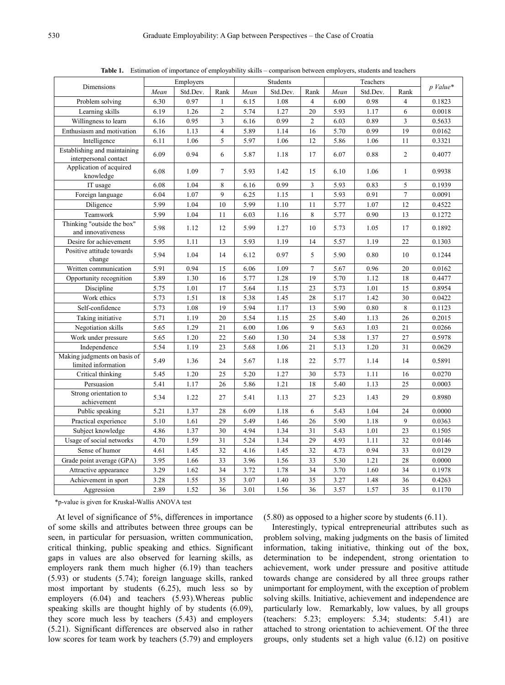|                                                       | Employers |          | Students       |      |          | Teachers       |      |          |                |            |
|-------------------------------------------------------|-----------|----------|----------------|------|----------|----------------|------|----------|----------------|------------|
| Dimensions                                            | Mean      | Std.Dev. | Rank           | Mean | Std.Dev. | Rank           | Mean | Std.Dev. | Rank           | $p$ Value* |
| Problem solving                                       | 6.30      | 0.97     | $\mathbf{1}$   | 6.15 | 1.08     | $\overline{4}$ | 6.00 | 0.98     | $\overline{4}$ | 0.1823     |
| Learning skills                                       | 6.19      | 1.26     | $\overline{2}$ | 5.74 | 1.27     | 20             | 5.93 | 1.17     | 6              | 0.0018     |
| Willingness to learn                                  | 6.16      | 0.95     | 3              | 6.16 | 0.99     | $\overline{c}$ | 6.03 | 0.89     | 3              | 0.5633     |
| Enthusiasm and motivation                             | 6.16      | 1.13     | $\overline{4}$ | 5.89 | 1.14     | 16             | 5.70 | 0.99     | 19             | 0.0162     |
| Intelligence                                          | 6.11      | 1.06     | 5              | 5.97 | 1.06     | 12             | 5.86 | 1.06     | 11             | 0.3321     |
| Establishing and maintaining<br>interpersonal contact | 6.09      | 0.94     | 6              | 5.87 | 1.18     | 17             | 6.07 | 0.88     | $\mathfrak{2}$ | 0.4077     |
| Application of acquired<br>knowledge                  | 6.08      | 1.09     | $\tau$         | 5.93 | 1.42     | 15             | 6.10 | 1.06     | $\mathbf{1}$   | 0.9938     |
| IT usage                                              | 6.08      | 1.04     | 8              | 6.16 | 0.99     | 3              | 5.93 | 0.83     | 5              | 0.1939     |
| Foreign language                                      | 6.04      | 1.07     | 9              | 6.25 | 1.15     | $\mathbf{1}$   | 5.93 | 0.91     | $\tau$         | 0.0091     |
| Diligence                                             | 5.99      | 1.04     | 10             | 5.99 | 1.10     | 11             | 5.77 | 1.07     | 12             | 0.4522     |
| Teamwork                                              | 5.99      | 1.04     | 11             | 6.03 | 1.16     | 8              | 5.77 | 0.90     | 13             | 0.1272     |
| Thinking "outside the box"<br>and innovativeness      | 5.98      | 1.12     | 12             | 5.99 | 1.27     | 10             | 5.73 | 1.05     | 17             | 0.1892     |
| Desire for achievement                                | 5.95      | 1.11     | 13             | 5.93 | 1.19     | 14             | 5.57 | 1.19     | 22             | 0.1303     |
| Positive attitude towards<br>change                   | 5.94      | 1.04     | 14             | 6.12 | 0.97     | 5              | 5.90 | 0.80     | 10             | 0.1244     |
| Written communication                                 | 5.91      | 0.94     | 15             | 6.06 | 1.09     | $\overline{7}$ | 5.67 | 0.96     | 20             | 0.0162     |
| Opportunity recognition                               | 5.89      | 1.30     | 16             | 5.77 | 1.28     | 19             | 5.70 | 1.12     | 18             | 0.4477     |
| Discipline                                            | 5.75      | 1.01     | 17             | 5.64 | 1.15     | 23             | 5.73 | 1.01     | 15             | 0.8954     |
| Work ethics                                           | 5.73      | 1.51     | 18             | 5.38 | 1.45     | 28             | 5.17 | 1.42     | 30             | 0.0422     |
| Self-confidence                                       | 5.73      | 1.08     | 19             | 5.94 | 1.17     | 13             | 5.90 | 0.80     | 8              | 0.1123     |
| Taking initiative                                     | 5.71      | 1.19     | 20             | 5.54 | 1.15     | 25             | 5.40 | 1.13     | 26             | 0.2015     |
| Negotiation skills                                    | 5.65      | 1.29     | 21             | 6.00 | 1.06     | 9              | 5.63 | 1.03     | 21             | 0.0266     |
| Work under pressure                                   | 5.65      | 1.20     | 22             | 5.60 | 1.30     | 24             | 5.38 | 1.37     | 27             | 0.5978     |
| Independence                                          | 5.54      | 1.19     | 23             | 5.68 | 1.06     | 21             | 5.13 | 1.20     | 31             | 0.0629     |
| Making judgments on basis of<br>limited information   | 5.49      | 1.36     | 24             | 5.67 | 1.18     | 22             | 5.77 | 1.14     | 14             | 0.5891     |
| Critical thinking                                     | 5.45      | 1.20     | 25             | 5.20 | 1.27     | 30             | 5.73 | 1.11     | 16             | 0.0270     |
| Persuasion                                            | 5.41      | 1.17     | 26             | 5.86 | 1.21     | 18             | 5.40 | 1.13     | 25             | 0.0003     |
| Strong orientation to<br>achievement                  | 5.34      | 1.22     | 27             | 5.41 | 1.13     | 27             | 5.23 | 1.43     | 29             | 0.8980     |
| Public speaking                                       | 5.21      | 1.37     | 28             | 6.09 | 1.18     | 6              | 5.43 | 1.04     | 24             | 0.0000     |
| Practical experience                                  | 5.10      | 1.61     | 29             | 5.49 | 1.46     | 26             | 5.90 | 1.18     | 9              | 0.0363     |
| Subject knowledge                                     | 4.86      | 1.37     | 30             | 4.94 | 1.34     | 31             | 5.43 | 1.01     | 23             | 0.1505     |
| Usage of social networks                              | 4.70      | 1.59     | 31             | 5.24 | 1.34     | 29             | 4.93 | 1.11     | 32             | 0.0146     |
| Sense of humor                                        | 4.61      | 1.45     | 32             | 4.16 | 1.45     | 32             | 4.73 | 0.94     | 33             | 0.0129     |
| Grade point average (GPA)                             | 3.95      | 1.66     | 33             | 3.96 | 1.56     | 33             | 5.30 | 1.21     | 28             | 0.0000     |
| Attractive appearance                                 | 3.29      | 1.62     | 34             | 3.72 | 1.78     | 34             | 3.70 | 1.60     | 34             | 0.1978     |
| Achievement in sport                                  | 3.28      | 1.55     | 35             | 3.07 | 1.40     | 35             | 3.27 | 1.48     | 36             | 0.4263     |
| Aggression                                            | 2.89      | 1.52     | 36             | 3.01 | 1.56     | 36             | 3.57 | 1.57     | 35             | 0.1170     |
|                                                       |           |          |                |      |          |                |      |          |                |            |

**Table 1.** Estimation of importance of employability skills – comparison between employers, students and teachers

\*p-value is given for Kruskal-Wallis ANOVA test

At level of significance of 5%, differences in importance of some skills and attributes between three groups can be seen, in particular for persuasion, written communication, critical thinking, public speaking and ethics. Significant gaps in values are also observed for learning skills, as employers rank them much higher (6.19) than teachers (5.93) or students (5.74); foreign language skills, ranked most important by students (6.25), much less so by employers (6.04) and teachers (5.93).Whereas public speaking skills are thought highly of by students (6.09), they score much less by teachers (5.43) and employers (5.21). Significant differences are observed also in rather low scores for team work by teachers (5.79) and employers

(5.80) as opposed to a higher score by students (6.11).

Interestingly, typical entrepreneurial attributes such as problem solving, making judgments on the basis of limited information, taking initiative, thinking out of the box, determination to be independent, strong orientation to achievement, work under pressure and positive attitude towards change are considered by all three groups rather unimportant for employment, with the exception of problem solving skills. Initiative, achievement and independence are particularly low. Remarkably, low values, by all groups (teachers: 5.23; employers: 5.34; students: 5.41) are attached to strong orientation to achievement. Of the three groups, only students set a high value (6.12) on positive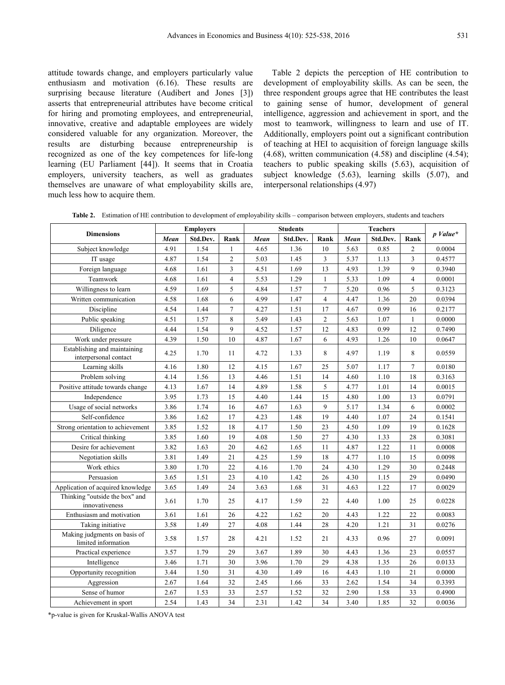attitude towards change, and employers particularly value enthusiasm and motivation (6.16). These results are surprising because literature (Audibert and Jones [3]) asserts that entrepreneurial attributes have become critical for hiring and promoting employees, and entrepreneurial, innovative, creative and adaptable employees are widely considered valuable for any organization. Moreover, the results are disturbing because entrepreneurship is recognized as one of the key competences for life-long learning (EU Parliament [44]). It seems that in Croatia employers, university teachers, as well as graduates themselves are unaware of what employability skills are, much less how to acquire them.

Table 2 depicts the perception of HE contribution to development of employability skills. As can be seen, the three respondent groups agree that HE contributes the least to gaining sense of humor, development of general intelligence, aggression and achievement in sport, and the most to teamwork, willingness to learn and use of IT. Additionally, employers point out a significant contribution of teaching at HEI to acquisition of foreign language skills (4.68), written communication (4.58) and discipline (4.54); teachers to public speaking skills (5.63), acquisition of subject knowledge (5.63), learning skills (5.07), and interpersonal relationships (4.97)

**Table 2.** Estimation of HE contribution to development of employability skills – comparison between employers, students and teachers

| <b>Dimensions</b>                                     | <b>Employers</b> |          |                | <b>Students</b> |          |                | <b>Teachers</b> |          |                | $p$ Value* |
|-------------------------------------------------------|------------------|----------|----------------|-----------------|----------|----------------|-----------------|----------|----------------|------------|
|                                                       | Mean             | Std.Dev. | Rank           | Mean            | Std.Dev. | Rank           | Mean            | Std.Dev. | Rank           |            |
| Subject knowledge                                     | 4.91             | 1.54     | 1              | 4.65            | 1.36     | 10             | 5.63            | 0.85     | $\overline{2}$ | 0.0004     |
| IT usage                                              | 4.87             | 1.54     | $\overline{c}$ | 5.03            | 1.45     | 3              | 5.37            | 1.13     | 3              | 0.4577     |
| Foreign language                                      | 4.68             | 1.61     | 3              | 4.51            | 1.69     | 13             | 4.93            | 1.39     | 9              | 0.3940     |
| Teamwork                                              | 4.68             | 1.61     | $\overline{4}$ | 5.53            | 1.29     | $\mathbf{1}$   | 5.33            | 1.09     | $\overline{4}$ | 0.0001     |
| Willingness to learn                                  | 4.59             | 1.69     | 5              | 4.84            | 1.57     | $\overline{7}$ | 5.20            | 0.96     | 5              | 0.3123     |
| Written communication                                 | 4.58             | 1.68     | 6              | 4.99            | 1.47     | $\overline{4}$ | 4.47            | 1.36     | 20             | 0.0394     |
| Discipline                                            | 4.54             | 1.44     | 7              | 4.27            | 1.51     | 17             | 4.67            | 0.99     | 16             | 0.2177     |
| Public speaking                                       | 4.51             | 1.57     | 8              | 5.49            | 1.43     | $\overline{2}$ | 5.63            | 1.07     | $\mathbf{1}$   | 0.0000     |
| Diligence                                             | 4.44             | 1.54     | 9              | 4.52            | 1.57     | 12             | 4.83            | 0.99     | 12             | 0.7490     |
| Work under pressure                                   | 4.39             | 1.50     | 10             | 4.87            | 1.67     | 6              | 4.93            | 1.26     | 10             | 0.0647     |
| Establishing and maintaining<br>interpersonal contact | 4.25             | 1.70     | 11             | 4.72            | 1.33     | 8              | 4.97            | 1.19     | 8              | 0.0559     |
| Learning skills                                       | 4.16             | 1.80     | 12             | 4.15            | 1.67     | 25             | 5.07            | 1.17     | $\overline{7}$ | 0.0180     |
| Problem solving                                       | 4.14             | 1.56     | 13             | 4.46            | 1.51     | 14             | 4.60            | 1.10     | 18             | 0.3163     |
| Positive attitude towards change                      | 4.13             | 1.67     | 14             | 4.89            | 1.58     | 5              | 4.77            | 1.01     | 14             | 0.0015     |
| Independence                                          | 3.95             | 1.73     | 15             | 4.40            | 1.44     | 15             | 4.80            | 1.00     | 13             | 0.0791     |
| Usage of social networks                              | 3.86             | 1.74     | 16             | 4.67            | 1.63     | 9              | 5.17            | 1.34     | 6              | 0.0002     |
| Self-confidence                                       | 3.86             | 1.62     | 17             | 4.23            | 1.48     | 19             | 4.40            | 1.07     | 24             | 0.1541     |
| Strong orientation to achievement                     | 3.85             | 1.52     | 18             | 4.17            | 1.50     | 23             | 4.50            | 1.09     | 19             | 0.1628     |
| Critical thinking                                     | 3.85             | 1.60     | 19             | 4.08            | 1.50     | 27             | 4.30            | 1.33     | 28             | 0.3081     |
| Desire for achievement                                | 3.82             | 1.63     | 20             | 4.62            | 1.65     | 11             | 4.87            | 1.22     | 11             | 0.0008     |
| Negotiation skills                                    | 3.81             | 1.49     | 21             | 4.25            | 1.59     | 18             | 4.77            | 1.10     | 15             | 0.0098     |
| Work ethics                                           | 3.80             | 1.70     | 22             | 4.16            | 1.70     | 24             | 4.30            | 1.29     | 30             | 0.2448     |
| Persuasion                                            | 3.65             | 1.51     | 23             | 4.10            | 1.42     | 26             | 4.30            | 1.15     | 29             | 0.0490     |
| Application of acquired knowledge                     | 3.65             | 1.49     | 24             | 3.63            | 1.68     | 31             | 4.63            | 1.22     | 17             | 0.0029     |
| Thinking "outside the box" and<br>innovativeness      | 3.61             | 1.70     | 25             | 4.17            | 1.59     | 22             | 4.40            | 1.00     | 25             | 0.0228     |
| Enthusiasm and motivation                             | 3.61             | 1.61     | 26             | 4.22            | 1.62     | 20             | 4.43            | 1.22     | 22             | 0.0083     |
| Taking initiative                                     | 3.58             | 1.49     | 27             | 4.08            | 1.44     | 28             | 4.20            | 1.21     | 31             | 0.0276     |
| Making judgments on basis of<br>limited information   | 3.58             | 1.57     | 28             | 4.21            | 1.52     | 21             | 4.33            | 0.96     | 27             | 0.0091     |
| Practical experience                                  | 3.57             | 1.79     | 29             | 3.67            | 1.89     | 30             | 4.43            | 1.36     | 23             | 0.0557     |
| Intelligence                                          | 3.46             | 1.71     | 30             | 3.96            | 1.70     | 29             | 4.38            | 1.35     | 26             | 0.0133     |
| Opportunity recognition                               | 3.44             | 1.50     | 31             | 4.30            | 1.49     | 16             | 4.43            | 1.10     | 21             | 0.0000     |
| Aggression                                            | 2.67             | 1.64     | 32             | 2.45            | 1.66     | 33             | 2.62            | 1.54     | 34             | 0.3393     |
| Sense of humor                                        | 2.67             | 1.53     | 33             | 2.57            | 1.52     | 32             | 2.90            | 1.58     | 33             | 0.4900     |
| Achievement in sport                                  | 2.54             | 1.43     | 34             | 2.31            | 1.42     | 34             | 3.40            | 1.85     | 32             | 0.0036     |

\*p-value is given for Kruskal-Wallis ANOVA test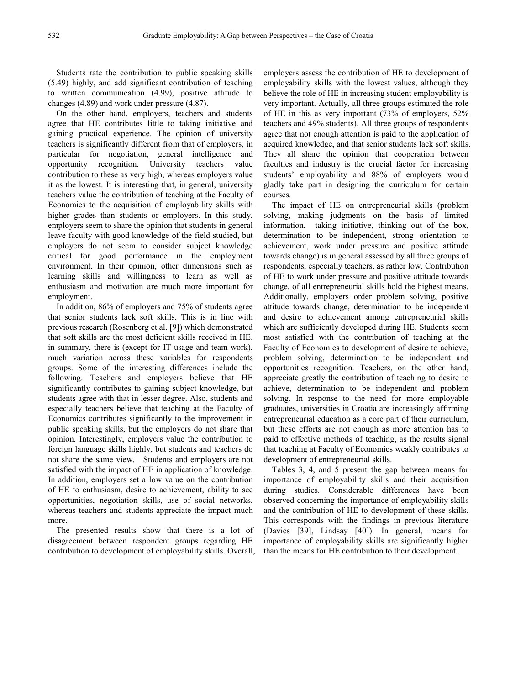Students rate the contribution to public speaking skills (5.49) highly, and add significant contribution of teaching to written communication (4.99), positive attitude to changes (4.89) and work under pressure (4.87).

On the other hand, employers, teachers and students agree that HE contributes little to taking initiative and gaining practical experience. The opinion of university teachers is significantly different from that of employers, in particular for negotiation, general intelligence and opportunity recognition. University teachers value contribution to these as very high, whereas employers value it as the lowest. It is interesting that, in general, university teachers value the contribution of teaching at the Faculty of Economics to the acquisition of employability skills with higher grades than students or employers. In this study, employers seem to share the opinion that students in general leave faculty with good knowledge of the field studied, but employers do not seem to consider subject knowledge critical for good performance in the employment environment. In their opinion, other dimensions such as learning skills and willingness to learn as well as enthusiasm and motivation are much more important for employment.

In addition, 86% of employers and 75% of students agree that senior students lack soft skills. This is in line with previous research (Rosenberg et.al. [9]) which demonstrated that soft skills are the most deficient skills received in HE. in summary, there is (except for IT usage and team work), much variation across these variables for respondents groups. Some of the interesting differences include the following. Teachers and employers believe that HE significantly contributes to gaining subject knowledge, but students agree with that in lesser degree. Also, students and especially teachers believe that teaching at the Faculty of Economics contributes significantly to the improvement in public speaking skills, but the employers do not share that opinion. Interestingly, employers value the contribution to foreign language skills highly, but students and teachers do not share the same view. Students and employers are not satisfied with the impact of HE in application of knowledge. In addition, employers set a low value on the contribution of HE to enthusiasm, desire to achievement, ability to see opportunities, negotiation skills, use of social networks, whereas teachers and students appreciate the impact much more.

The presented results show that there is a lot of disagreement between respondent groups regarding HE contribution to development of employability skills. Overall,

employers assess the contribution of HE to development of employability skills with the lowest values, although they believe the role of HE in increasing student employability is very important. Actually, all three groups estimated the role of HE in this as very important (73% of employers, 52% teachers and 49% students). All three groups of respondents agree that not enough attention is paid to the application of acquired knowledge, and that senior students lack soft skills. They all share the opinion that cooperation between faculties and industry is the crucial factor for increasing students' employability and 88% of employers would gladly take part in designing the curriculum for certain courses.

The impact of HE on entrepreneurial skills (problem solving, making judgments on the basis of limited information, taking initiative, thinking out of the box, determination to be independent, strong orientation to achievement, work under pressure and positive attitude towards change) is in general assessed by all three groups of respondents, especially teachers, as rather low. Contribution of HE to work under pressure and positive attitude towards change, of all entrepreneurial skills hold the highest means. Additionally, employers order problem solving, positive attitude towards change, determination to be independent and desire to achievement among entrepreneurial skills which are sufficiently developed during HE. Students seem most satisfied with the contribution of teaching at the Faculty of Economics to development of desire to achieve, problem solving, determination to be independent and opportunities recognition. Teachers, on the other hand, appreciate greatly the contribution of teaching to desire to achieve, determination to be independent and problem solving. In response to the need for more employable graduates, universities in Croatia are increasingly affirming entrepreneurial education as a core part of their curriculum, but these efforts are not enough as more attention has to paid to effective methods of teaching, as the results signal that teaching at Faculty of Economics weakly contributes to development of entrepreneurial skills.

Tables 3, 4, and 5 present the gap between means for importance of employability skills and their acquisition during studies. Considerable differences have been observed concerning the importance of employability skills and the contribution of HE to development of these skills. This corresponds with the findings in previous literature (Davies [39], Lindsay [40]). In general, means for importance of employability skills are significantly higher than the means for HE contribution to their development.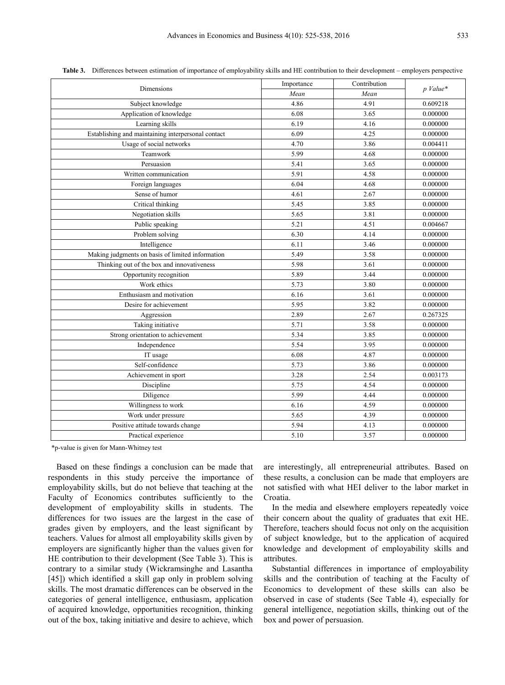| Dimensions                                         | Importance | Contribution | $p$ Value* |  |
|----------------------------------------------------|------------|--------------|------------|--|
|                                                    | Mean       | Mean         |            |  |
| Subject knowledge                                  | 4.86       | 4.91         | 0.609218   |  |
| Application of knowledge                           | 6.08       | 3.65         | 0.000000   |  |
| Learning skills                                    | 6.19       | 4.16         | 0.000000   |  |
| Establishing and maintaining interpersonal contact | 6.09       | 4.25         | 0.000000   |  |
| Usage of social networks                           | 4.70       | 3.86         | 0.004411   |  |
| Teamwork                                           | 5.99       | 4.68         | 0.000000   |  |
| Persuasion                                         | 5.41       | 3.65         | 0.000000   |  |
| Written communication                              | 5.91       | 4.58         | 0.000000   |  |
| Foreign languages                                  | 6.04       | 4.68         | 0.000000   |  |
| Sense of humor                                     | 4.61       | 2.67         | 0.000000   |  |
| Critical thinking                                  | 5.45       | 3.85         | 0.000000   |  |
| Negotiation skills                                 | 5.65       | 3.81         | 0.000000   |  |
| Public speaking                                    | 5.21       | 4.51         | 0.004667   |  |
| Problem solving                                    | 6.30       | 4.14         | 0.000000   |  |
| Intelligence                                       | 6.11       | 3.46         | 0.000000   |  |
| Making judgments on basis of limited information   | 5.49       | 3.58         | 0.000000   |  |
| Thinking out of the box and innovativeness         | 5.98       | 3.61         | 0.000000   |  |
| Opportunity recognition                            | 5.89       | 3.44         | 0.000000   |  |
| Work ethics                                        | 5.73       | 3.80         | 0.000000   |  |
| Enthusiasm and motivation                          | 6.16       | 3.61         | 0.000000   |  |
| Desire for achievement                             | 5.95       | 3.82         | 0.000000   |  |
| Aggression                                         | 2.89       | 2.67         | 0.267325   |  |
| Taking initiative                                  | 5.71       | 3.58         | 0.000000   |  |
| Strong orientation to achievement                  | 5.34       | 3.85         | 0.000000   |  |
| Independence                                       | 5.54       | 3.95         | 0.000000   |  |
| IT usage                                           | 6.08       | 4.87         | 0.000000   |  |
| Self-confidence                                    | 5.73       | 3.86         | 0.000000   |  |
| Achievement in sport                               | 3.28       | 2.54         | 0.003173   |  |
| Discipline                                         | 5.75       | 4.54         | 0.000000   |  |
| Diligence                                          | 5.99       | 4.44         | 0.000000   |  |
| Willingness to work                                | 6.16       | 4.59         | 0.000000   |  |
| Work under pressure                                | 5.65       | 4.39         | 0.000000   |  |
| Positive attitude towards change                   | 5.94       | 4.13         | 0.000000   |  |
| Practical experience                               | 5.10       | 3.57         | 0.000000   |  |

**Table 3.** Differences between estimation of importance of employability skills and HE contribution to their development – employers perspective

\*p-value is given for Mann-Whitney test

Based on these findings a conclusion can be made that respondents in this study perceive the importance of employability skills, but do not believe that teaching at the Faculty of Economics contributes sufficiently to the development of employability skills in students. The differences for two issues are the largest in the case of grades given by employers, and the least significant by teachers. Values for almost all employability skills given by employers are significantly higher than the values given for HE contribution to their development (See Table 3). This is contrary to a similar study (Wickramsinghe and Lasantha [45]) which identified a skill gap only in problem solving skills. The most dramatic differences can be observed in the categories of general intelligence, enthusiasm, application of acquired knowledge, opportunities recognition, thinking out of the box, taking initiative and desire to achieve, which

are interestingly, all entrepreneurial attributes. Based on these results, a conclusion can be made that employers are not satisfied with what HEI deliver to the labor market in Croatia.

In the media and elsewhere employers repeatedly voice their concern about the quality of graduates that exit HE. Therefore, teachers should focus not only on the acquisition of subject knowledge, but to the application of acquired knowledge and development of employability skills and attributes.

Substantial differences in importance of employability skills and the contribution of teaching at the Faculty of Economics to development of these skills can also be observed in case of students (See Table 4), especially for general intelligence, negotiation skills, thinking out of the box and power of persuasion.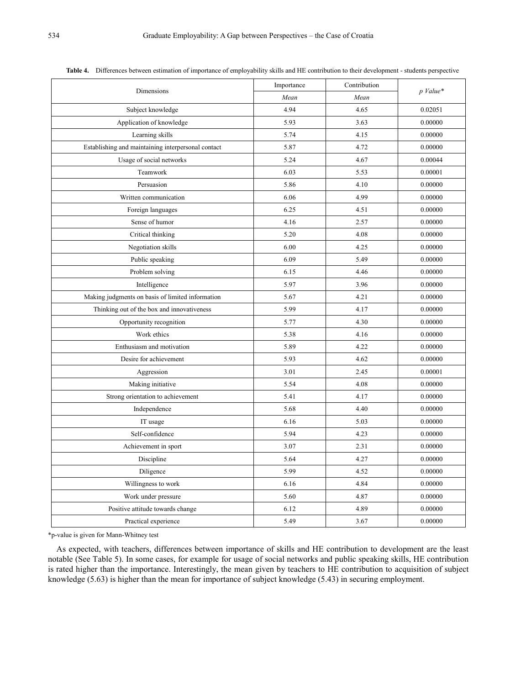|                                                    | Importance | Contribution |          |  |
|----------------------------------------------------|------------|--------------|----------|--|
| Dimensions                                         | Mean       | Mean         | p Value* |  |
| Subject knowledge                                  | 4.94       | 4.65         | 0.02051  |  |
| Application of knowledge                           | 5.93       | 3.63         | 0.00000  |  |
| Learning skills                                    | 5.74       | 4.15         | 0.00000  |  |
| Establishing and maintaining interpersonal contact | 5.87       | 4.72         | 0.00000  |  |
| Usage of social networks                           | 5.24       | 4.67         | 0.00044  |  |
| Teamwork                                           | 6.03       | 5.53         | 0.00001  |  |
| Persuasion                                         | 5.86       | 4.10         | 0.00000  |  |
| Written communication                              | 6.06       | 4.99         | 0.00000  |  |
| Foreign languages                                  | 6.25       | 4.51         | 0.00000  |  |
| Sense of humor                                     | 4.16       | 2.57         | 0.00000  |  |
| Critical thinking                                  | 5.20       | 4.08         | 0.00000  |  |
| Negotiation skills                                 | 6.00       | 4.25         | 0.00000  |  |
| Public speaking                                    | 6.09       | 5.49         | 0.00000  |  |
| Problem solving                                    | 6.15       | 4.46         | 0.00000  |  |
| Intelligence                                       | 5.97       | 3.96         | 0.00000  |  |
| Making judgments on basis of limited information   | 5.67       | 4.21         | 0.00000  |  |
| Thinking out of the box and innovativeness         | 5.99       | 4.17         | 0.00000  |  |
| Opportunity recognition                            | 5.77       | 4.30         | 0.00000  |  |
| Work ethics                                        | 5.38       | 4.16         | 0.00000  |  |
| Enthusiasm and motivation                          | 5.89       | 4.22         | 0.00000  |  |
| Desire for achievement                             | 5.93       | 4.62         | 0.00000  |  |
| Aggression                                         | 3.01       | 2.45         | 0.00001  |  |
| Making initiative                                  | 5.54       | 4.08         | 0.00000  |  |
| Strong orientation to achievement                  | 5.41       | 4.17         | 0.00000  |  |
| Independence                                       | 5.68       | 4.40         | 0.00000  |  |
| IT usage                                           | 6.16       | 5.03         | 0.00000  |  |
| Self-confidence                                    | 5.94       | 4.23         | 0.00000  |  |
| Achievement in sport                               | 3.07       | 2.31         | 0.00000  |  |
| Discipline                                         | 5.64       | 4.27         | 0.00000  |  |
| Diligence                                          | 5.99       | 4.52         | 0.00000  |  |
| Willingness to work                                | 6.16       | 4.84         | 0.00000  |  |
| Work under pressure                                | 5.60       | 4.87         | 0.00000  |  |
| Positive attitude towards change                   | 6.12       | 4.89         | 0.00000  |  |
| Practical experience                               | 5.49       | 3.67         | 0.00000  |  |

**Table 4.** Differences between estimation of importance of employability skills and HE contribution to their development - students perspective

\*p-value is given for Mann-Whitney test

As expected, with teachers, differences between importance of skills and HE contribution to development are the least notable (See Table 5). In some cases, for example for usage of social networks and public speaking skills, HE contribution is rated higher than the importance. Interestingly, the mean given by teachers to HE contribution to acquisition of subject knowledge (5.63) is higher than the mean for importance of subject knowledge (5.43) in securing employment.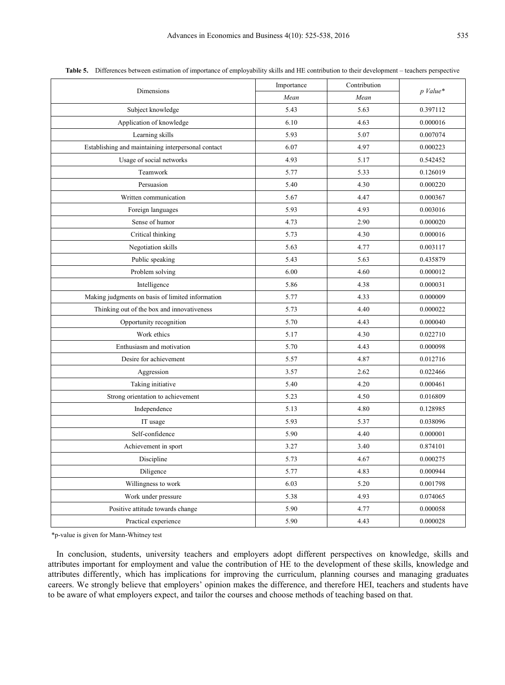|                                                    | Importance | Contribution |          |  |
|----------------------------------------------------|------------|--------------|----------|--|
| Dimensions                                         | Mean       | Mean         | p Value* |  |
| Subject knowledge                                  | 5.43       | 5.63         | 0.397112 |  |
| Application of knowledge                           | 6.10       | 4.63         | 0.000016 |  |
| Learning skills                                    | 5.93       | 5.07         | 0.007074 |  |
| Establishing and maintaining interpersonal contact | 6.07       | 4.97         | 0.000223 |  |
| Usage of social networks                           | 4.93       | 5.17         | 0.542452 |  |
| Teamwork                                           | 5.77       | 5.33         | 0.126019 |  |
| Persuasion                                         | 5.40       | 4.30         | 0.000220 |  |
| Written communication                              | 5.67       | 4.47         | 0.000367 |  |
| Foreign languages                                  | 5.93       | 4.93         | 0.003016 |  |
| Sense of humor                                     | 4.73       | 2.90         | 0.000020 |  |
| Critical thinking                                  | 5.73       | 4.30         | 0.000016 |  |
| Negotiation skills                                 | 5.63       | 4.77         | 0.003117 |  |
| Public speaking                                    | 5.43       | 5.63         | 0.435879 |  |
| Problem solving                                    | 6.00       | 4.60         | 0.000012 |  |
| Intelligence                                       | 5.86       | 4.38         | 0.000031 |  |
| Making judgments on basis of limited information   | 5.77       | 4.33         | 0.000009 |  |
| Thinking out of the box and innovativeness         | 5.73       | 4.40         | 0.000022 |  |
| Opportunity recognition                            | 5.70       | 4.43         | 0.000040 |  |
| Work ethics                                        | 5.17       | 4.30         | 0.022710 |  |
| Enthusiasm and motivation                          | 5.70       | 4.43         | 0.000098 |  |
| Desire for achievement                             | 5.57       | 4.87         | 0.012716 |  |
| Aggression                                         | 3.57       | 2.62         | 0.022466 |  |
| Taking initiative                                  | 5.40       | 4.20         | 0.000461 |  |
| Strong orientation to achievement                  | 5.23       | 4.50         | 0.016809 |  |
| Independence                                       | 5.13       | 4.80         | 0.128985 |  |
| IT usage                                           | 5.93       | 5.37         | 0.038096 |  |
| Self-confidence                                    | 5.90       | 4.40         | 0.000001 |  |
| Achievement in sport                               | 3.27       | 3.40         | 0.874101 |  |
| Discipline                                         | 5.73       | 4.67         | 0.000275 |  |
| Diligence                                          | 5.77       | 4.83         | 0.000944 |  |
| Willingness to work                                | 6.03       | 5.20         | 0.001798 |  |
| Work under pressure                                | 5.38       | 4.93         | 0.074065 |  |
| Positive attitude towards change                   | 5.90       | 4.77         | 0.000058 |  |
| Practical experience                               | 5.90       | 4.43         | 0.000028 |  |

**Table 5.** Differences between estimation of importance of employability skills and HE contribution to their development – teachers perspective

\*p-value is given for Mann-Whitney test

In conclusion, students, university teachers and employers adopt different perspectives on knowledge, skills and attributes important for employment and value the contribution of HE to the development of these skills, knowledge and attributes differently, which has implications for improving the curriculum, planning courses and managing graduates careers. We strongly believe that employers' opinion makes the difference, and therefore HEI, teachers and students have to be aware of what employers expect, and tailor the courses and choose methods of teaching based on that.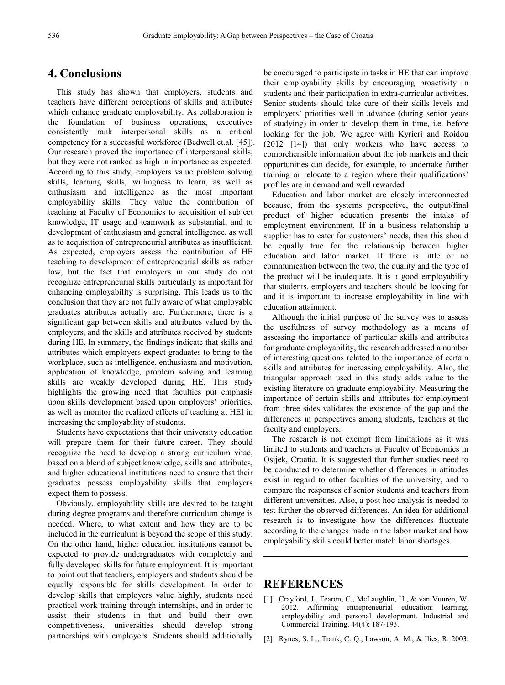## **4. Conclusions**

This study has shown that employers, students and teachers have different perceptions of skills and attributes which enhance graduate employability. As collaboration is the foundation of business operations, executives consistently rank interpersonal skills as a critical competency for a successful workforce (Bedwell et.al. [45]). Our research proved the importance of interpersonal skills, but they were not ranked as high in importance as expected. According to this study, employers value problem solving skills, learning skills, willingness to learn, as well as enthusiasm and intelligence as the most important employability skills. They value the contribution of teaching at Faculty of Economics to acquisition of subject knowledge, IT usage and teamwork as substantial, and to development of enthusiasm and general intelligence, as well as to acquisition of entrepreneurial attributes as insufficient. As expected, employers assess the contribution of HE teaching to development of entrepreneurial skills as rather low, but the fact that employers in our study do not recognize entrepreneurial skills particularly as important for enhancing employability is surprising. This leads us to the conclusion that they are not fully aware of what employable graduates attributes actually are. Furthermore, there is a significant gap between skills and attributes valued by the employers, and the skills and attributes received by students during HE. In summary, the findings indicate that skills and attributes which employers expect graduates to bring to the workplace, such as intelligence, enthusiasm and motivation, application of knowledge, problem solving and learning skills are weakly developed during HE. This study highlights the growing need that faculties put emphasis upon skills development based upon employers' priorities, as well as monitor the realized effects of teaching at HEI in increasing the employability of students.

Students have expectations that their university education will prepare them for their future career. They should recognize the need to develop a strong curriculum vitae, based on a blend of subject knowledge, skills and attributes, and higher educational institutions need to ensure that their graduates possess employability skills that employers expect them to possess.

Obviously, employability skills are desired to be taught during degree programs and therefore curriculum change is needed. Where, to what extent and how they are to be included in the curriculum is beyond the scope of this study. On the other hand, higher education institutions cannot be expected to provide undergraduates with completely and fully developed skills for future employment. It is important to point out that teachers, employers and students should be equally responsible for skills development. In order to develop skills that employers value highly, students need practical work training through internships, and in order to assist their students in that and build their own competitiveness, universities should develop strong partnerships with employers. Students should additionally

be encouraged to participate in tasks in HE that can improve their employability skills by encouraging proactivity in students and their participation in extra-curricular activities. Senior students should take care of their skills levels and employers' priorities well in advance (during senior years of studying) in order to develop them in time, i.e. before looking for the job. We agree with Kyrieri and Roidou (2012 [14]) that only workers who have access to comprehensible information about the job markets and their opportunities can decide, for example, to undertake further training or relocate to a region where their qualifications' profiles are in demand and well rewarded

Education and labor market are closely interconnected because, from the systems perspective, the output/final product of higher education presents the intake of employment environment. If in a business relationship a supplier has to cater for customers' needs, then this should be equally true for the relationship between higher education and labor market. If there is little or no communication between the two, the quality and the type of the product will be inadequate. It is a good employability that students, employers and teachers should be looking for and it is important to increase employability in line with education attainment.

Although the initial purpose of the survey was to assess the usefulness of survey methodology as a means of assessing the importance of particular skills and attributes for graduate employability, the research addressed a number of interesting questions related to the importance of certain skills and attributes for increasing employability. Also, the triangular approach used in this study adds value to the existing literature on graduate employability. Measuring the importance of certain skills and attributes for employment from three sides validates the existence of the gap and the differences in perspectives among students, teachers at the faculty and employers.

The research is not exempt from limitations as it was limited to students and teachers at Faculty of Economics in Osijek, Croatia. It is suggested that further studies need to be conducted to determine whether differences in attitudes exist in regard to other faculties of the university, and to compare the responses of senior students and teachers from different universities. Also, a post hoc analysis is needed to test further the observed differences. An idea for additional research is to investigate how the differences fluctuate according to the changes made in the labor market and how employability skills could better match labor shortages.

## **REFERENCES**

- [1] Crayford, J., Fearon, C., McLaughlin, H., & van Vuuren, W. 2012. Affirming entrepreneurial education: learning, employability and personal development. Industrial and Commercial Training. 44(4): 187-193.
- [2] Rynes, S. L., Trank, C. Q., Lawson, A. M., & Ilies, R. 2003.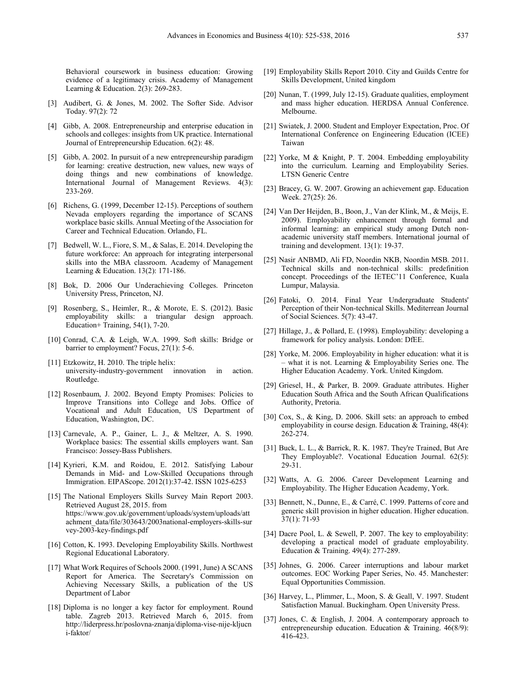Behavioral coursework in business education: Growing evidence of a legitimacy crisis. Academy of Management Learning & Education. 2(3): 269-283.

- [3] Audibert, G. & Jones, M. 2002. The Softer Side. Advisor Today. 97(2): 72
- [4] Gibb, A. 2008. Entrepreneurship and enterprise education in schools and colleges: insights from UK practice. International Journal of Entrepreneurship Education. 6(2): 48.
- [5] Gibb, A. 2002. In pursuit of a new entrepreneurship paradigm for learning: creative destruction, new values, new ways of doing things and new combinations of knowledge. International Journal of Management Reviews. 4(3): 233-269.
- [6] Richens, G. (1999, December 12-15). Perceptions of southern Nevada employers regarding the importance of SCANS workplace basic skills. Annual Meeting of the Association for Career and Technical Education. Orlando, FL.
- [7] Bedwell, W. L., Fiore, S. M., & Salas, E. 2014. Developing the future workforce: An approach for integrating interpersonal skills into the MBA classroom. Academy of Management Learning & Education. 13(2): 171-186.
- [8] Bok, D. 2006 Our Underachieving Colleges. Princeton University Press, Princeton, NJ.
- [9] Rosenberg, S., Heimler, R., & Morote, E. S. (2012). Basic employability skills: a triangular design approach. Education+ Training, 54(1), 7-20.
- [10] Conrad, C.A. & Leigh, W.A. 1999. Soft skills: Bridge or barrier to employment? Focus, 27(1): 5-6.
- [11] Etzkowitz, H. 2010. The triple helix: university-industry-government innovation in action. Routledge.
- [12] Rosenbaum, J. 2002. Beyond Empty Promises: Policies to Improve Transitions into College and Jobs. Office of Vocational and Adult Education, US Department of Education, Washington, DC.
- [13] Carnevale, A. P., Gainer, L. J., & Meltzer, A. S. 1990. Workplace basics: The essential skills employers want. San Francisco: Jossey-Bass Publishers.
- [14] Kyrieri, K.M. and Roidou, E. 2012. Satisfying Labour Demands in Mid- and Low-Skilled Occupations through Immigration. EIPAScope. 2012(1):37-42. ISSN 1025-6253
- [15] The National Employers Skills Survey Main Report 2003. Retrieved August 28, 2015. from https://www.gov.uk/government/uploads/system/uploads/att achment\_data/file/303643/2003national-employers-skills-sur vey-2003-key-findings.pdf
- [16] Cotton, K. 1993. Developing Employability Skills. Northwest Regional Educational Laboratory.
- [17] What Work Requires of Schools 2000. (1991, June) A SCANS Report for America. The Secretary's Commission on Achieving Necessary Skills, a publication of the US Department of Labor
- [18] Diploma is no longer a key factor for employment. Round table. Zagreb 2013. Retrieved March 6, 2015. from http://liderpress.hr/poslovna-znanja/diploma-vise-nije-kljucn i-faktor/
- [19] Employability Skills Report 2010. City and Guilds Centre for Skills Development, United kingdom
- [20] Nunan, T. (1999, July 12-15). Graduate qualities, employment and mass higher education. HERDSA Annual Conference. Melbourne.
- [21] Swiatek, J. 2000. Student and Employer Expectation, Proc. Of International Conference on Engineering Education (ICEE) Taiwan
- [22] Yorke, M & Knight, P. T. 2004. Embedding employability into the curriculum. Learning and Employability Series. LTSN Generic Centre
- [23] Bracey, G. W. 2007. Growing an achievement gap. Education Week. 27(25): 26.
- [24] Van Der Heijden, B., Boon, J., Van der Klink, M., & Meijs, E. 2009). Employability enhancement through formal and informal learning: an empirical study among Dutch nonacademic university staff members. International journal of training and development. 13(1): 19-37.
- [25] Nasir ANBMD, Ali FD, Noordin NKB, Noordin MSB. 2011. Technical skills and non-technical skills: predefinition concept. Proceedings of the IETEC'11 Conference, Kuala Lumpur, Malaysia.
- [26] Fatoki, O. 2014. Final Year Undergraduate Students' Perception of their Non-technical Skills. Mediterrean Journal of Social Sciences. 5(7): 43-47.
- [27] Hillage, J., & Pollard, E. (1998). Employability: developing a framework for policy analysis. London: DfEE.
- [28] Yorke, M. 2006. Employability in higher education: what it is – what it is not. Learning  $&$  Employability Series one. The Higher Education Academy. York. United Kingdom.
- [29] Griesel, H., & Parker, B. 2009. Graduate attributes. Higher Education South Africa and the South African Qualifications Authority, Pretoria.
- [30] Cox, S., & King, D. 2006. Skill sets: an approach to embed employability in course design. Education  $\&$  Training, 48(4): 262-274.
- [31] Buck, L. L., & Barrick, R. K. 1987. They're Trained, But Are They Employable?. Vocational Education Journal. 62(5): 29-31.
- [32] Watts, A. G. 2006. Career Development Learning and Employability. The Higher Education Academy, York.
- [33] Bennett, N., Dunne, E., & Carré, C. 1999. Patterns of core and generic skill provision in higher education. Higher education. 37(1): 71-93
- [34] Dacre Pool, L. & Sewell, P. 2007. The key to employability: developing a practical model of graduate employability. Education & Training. 49(4): 277-289.
- [35] Johnes, G. 2006. Career interruptions and labour market outcomes. EOC Working Paper Series, No. 45. Manchester: Equal Opportunities Commission.
- [36] Harvey, L., Plimmer, L., Moon, S. & Geall, V. 1997. Student Satisfaction Manual. Buckingham. Open University Press.
- [37] Jones, C. & English, J. 2004. A contemporary approach to entrepreneurship education. Education & Training. 46(8/9): 416-423.